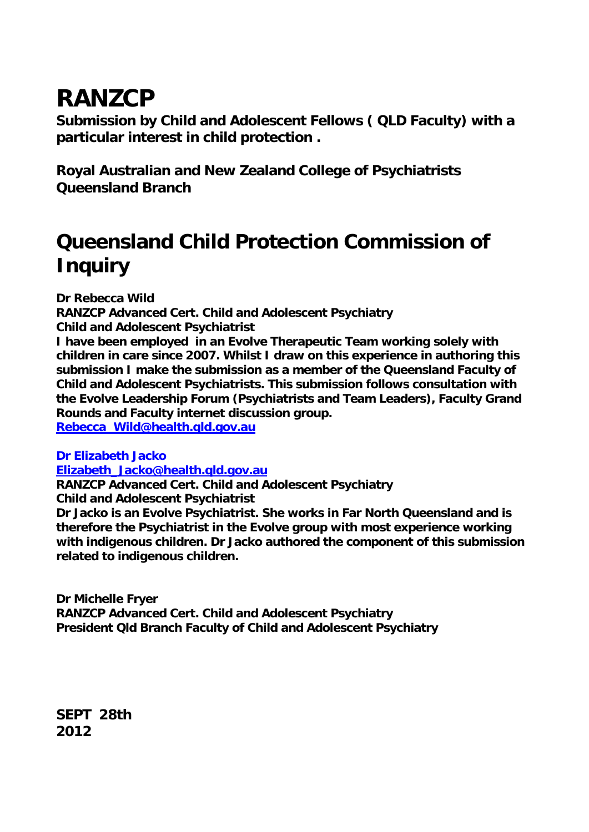# **RANZCP**

**Submission by Child and Adolescent Fellows ( QLD Faculty) with a particular interest in child protection .** 

**Royal Australian and New Zealand College of Psychiatrists Queensland Branch** 

## **Queensland Child Protection Commission of Inquiry**

**Dr Rebecca Wild** 

**RANZCP Advanced Cert. Child and Adolescent Psychiatry Child and Adolescent Psychiatrist** 

**I have been employed in an Evolve Therapeutic Team working solely with children in care since 2007. Whilst I draw on this experience in authoring this submission I make the submission as a member of the Queensland Faculty of Child and Adolescent Psychiatrists. This submission follows consultation with the Evolve Leadership Forum (Psychiatrists and Team Leaders), Faculty Grand Rounds and Faculty internet discussion group.** 

**Rebecca\_Wild@health.qld.gov.au**

**Dr Elizabeth Jacko Elizabeth\_Jacko@health.qld.gov.au**

**RANZCP Advanced Cert. Child and Adolescent Psychiatry Child and Adolescent Psychiatrist** 

**Dr Jacko is an Evolve Psychiatrist. She works in Far North Queensland and is therefore the Psychiatrist in the Evolve group with most experience working with indigenous children. Dr Jacko authored the component of this submission related to indigenous children.** 

**Dr Michelle Fryer RANZCP Advanced Cert. Child and Adolescent Psychiatry President Qld Branch Faculty of Child and Adolescent Psychiatry** 

**SEPT 28th 2012**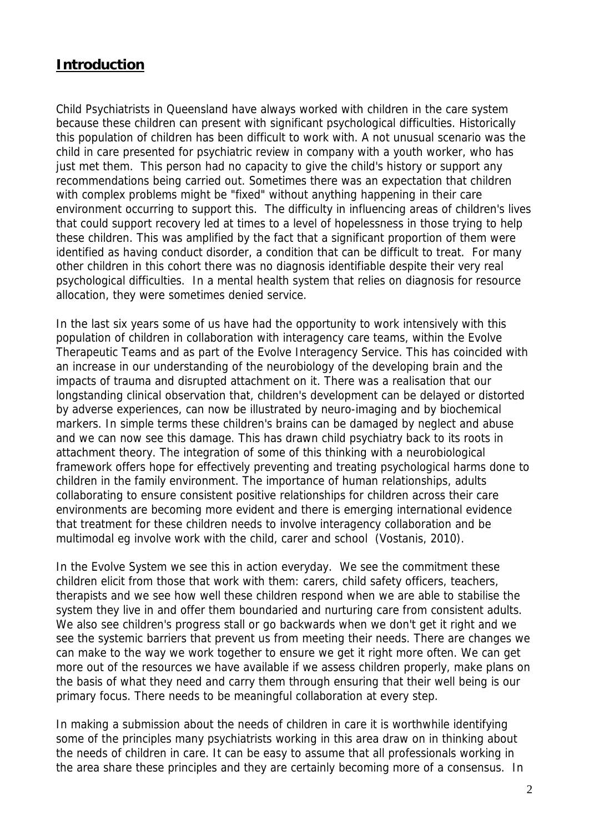## **Introduction**

Child Psychiatrists in Queensland have always worked with children in the care system because these children can present with significant psychological difficulties. Historically this population of children has been difficult to work with. A not unusual scenario was the child in care presented for psychiatric review in company with a youth worker, who has just met them. This person had no capacity to give the child's history or support any recommendations being carried out. Sometimes there was an expectation that children with complex problems might be "fixed" without anything happening in their care environment occurring to support this. The difficulty in influencing areas of children's lives that could support recovery led at times to a level of hopelessness in those trying to help these children. This was amplified by the fact that a significant proportion of them were identified as having conduct disorder, a condition that can be difficult to treat. For many other children in this cohort there was no diagnosis identifiable despite their very real psychological difficulties. In a mental health system that relies on diagnosis for resource allocation, they were sometimes denied service.

In the last six years some of us have had the opportunity to work intensively with this population of children in collaboration with interagency care teams, within the Evolve Therapeutic Teams and as part of the Evolve Interagency Service. This has coincided with an increase in our understanding of the neurobiology of the developing brain and the impacts of trauma and disrupted attachment on it. There was a realisation that our longstanding clinical observation that, children's development can be delayed or distorted by adverse experiences, can now be illustrated by neuro-imaging and by biochemical markers. In simple terms these children's brains can be damaged by neglect and abuse and we can now see this damage. This has drawn child psychiatry back to its roots in attachment theory. The integration of some of this thinking with a neurobiological framework offers hope for effectively preventing and treating psychological harms done to children in the family environment. The importance of human relationships, adults collaborating to ensure consistent positive relationships for children across their care environments are becoming more evident and there is emerging international evidence that treatment for these children needs to involve interagency collaboration and be multimodal eg involve work with the child, carer and school ([Vostanis, 2010\)](#page-26-0).

In the Evolve System we see this in action everyday. We see the commitment these children elicit from those that work with them: carers, child safety officers, teachers, therapists and we see how well these children respond when we are able to stabilise the system they live in and offer them boundaried and nurturing care from consistent adults. We also see children's progress stall or go backwards when we don't get it right and we see the systemic barriers that prevent us from meeting their needs. There are changes we can make to the way we work together to ensure we get it right more often. We can get more out of the resources we have available if we assess children properly, make plans on the basis of what they need and carry them through ensuring that their well being is our primary focus. There needs to be meaningful collaboration at every step.

In making a submission about the needs of children in care it is worthwhile identifying some of the principles many psychiatrists working in this area draw on in thinking about the needs of children in care. It can be easy to assume that all professionals working in the area share these principles and they are certainly becoming more of a consensus. In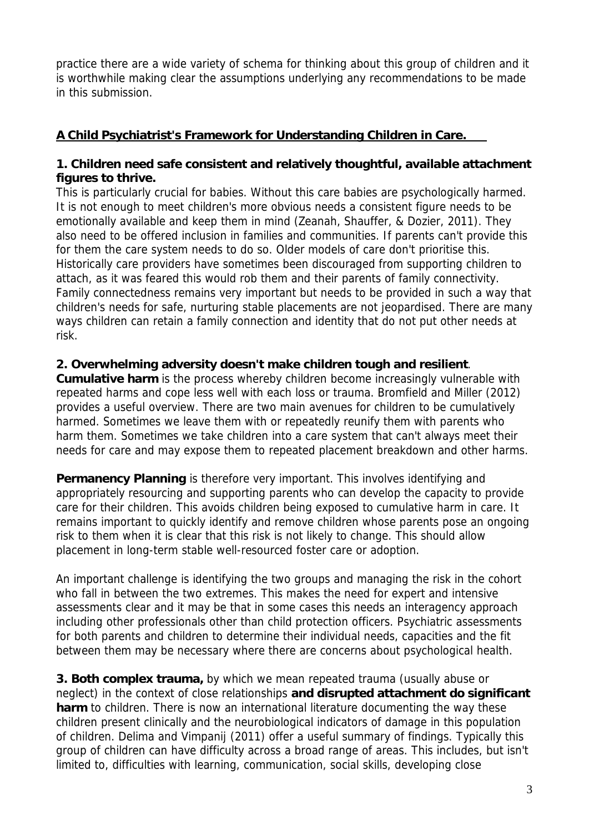practice there are a wide variety of schema for thinking about this group of children and it is worthwhile making clear the assumptions underlying any recommendations to be made in this submission.

#### **A Child Psychiatrist's Framework for Understanding Children in Care.**

#### **1. Children need safe consistent and relatively thoughtful, available attachment figures to thrive.**

This is particularly crucial for babies. Without this care babies are psychologically harmed. It is not enough to meet children's more obvious needs a consistent figure needs to be emotionally available and keep them in mind [\(Zeanah, Shauffer, & Dozier, 2011](#page-27-0)). They also need to be offered inclusion in families and communities. If parents can't provide this for them the care system needs to do so. Older models of care don't prioritise this. Historically care providers have sometimes been discouraged from supporting children to attach, as it was feared this would rob them and their parents of family connectivity. Family connectedness remains very important but needs to be provided in such a way that children's needs for safe, nurturing stable placements are not jeopardised. There are many ways children can retain a family connection and identity that do not put other needs at risk.

#### **2. Overwhelming adversity doesn't make children tough and resilient**.

**Cumulative harm** is the process whereby children become increasingly vulnerable with repeated harms and cope less well with each loss or trauma. [Bromfield and Miller \(2012](#page-26-1)) provides a useful overview. There are two main avenues for children to be cumulatively harmed. Sometimes we leave them with or repeatedly reunify them with parents who harm them. Sometimes we take children into a care system that can't always meet their needs for care and may expose them to repeated placement breakdown and other harms.

**Permanency Planning** is therefore very important. This involves identifying and appropriately resourcing and supporting parents who can develop the capacity to provide care for their children. This avoids children being exposed to cumulative harm in care. It remains important to quickly identify and remove children whose parents pose an ongoing risk to them when it is clear that this risk is not likely to change. This should allow placement in long-term stable well-resourced foster care or adoption.

An important challenge is identifying the two groups and managing the risk in the cohort who fall in between the two extremes. This makes the need for expert and intensive assessments clear and it may be that in some cases this needs an interagency approach including other professionals other than child protection officers. Psychiatric assessments for both parents and children to determine their individual needs, capacities and the fit between them may be necessary where there are concerns about psychological health.

**3. Both complex trauma,** by which we mean repeated trauma (usually abuse or neglect) in the context of close relationships **and disrupted attachment do significant harm** to children. There is now an international literature documenting the way these children present clinically and the neurobiological indicators of damage in this population of children. [Delima and Vimpanij \(2011\)](#page-26-2) offer a useful summary of findings. Typically this group of children can have difficulty across a broad range of areas. This includes, but isn't limited to, difficulties with learning, communication, social skills, developing close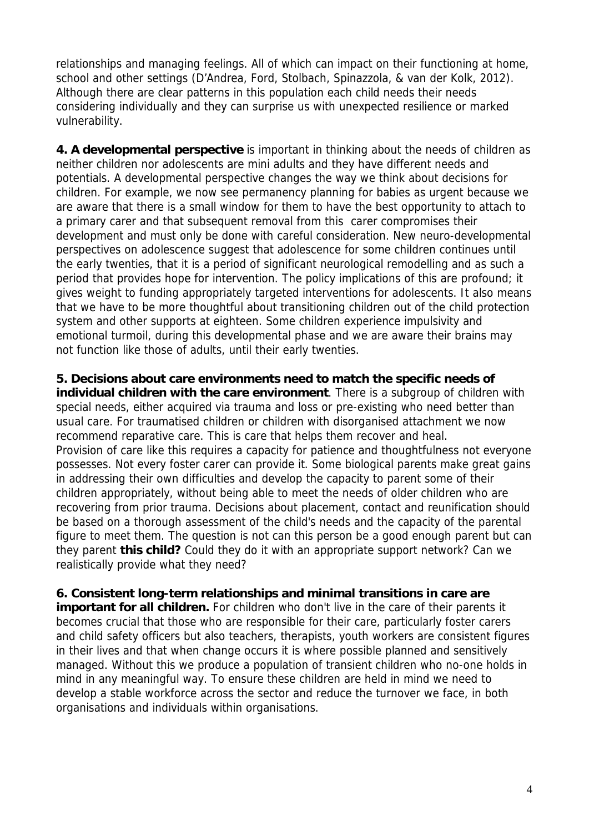relationships and managing feelings. All of which can impact on their functioning at home, school and other settings (D'Andrea, Ford, Stolbach, Spinazzola, & van der Kolk, 2012). Although there are clear patterns in this population each child needs their needs considering individually and they can surprise us with unexpected resilience or marked vulnerability.

**4. A developmental perspective** is important in thinking about the needs of children as neither children nor adolescents are mini adults and they have different needs and potentials. A developmental perspective changes the way we think about decisions for children. For example, we now see permanency planning for babies as urgent because we are aware that there is a small window for them to have the best opportunity to attach to a primary carer and that subsequent removal from this carer compromises their development and must only be done with careful consideration. New neuro-developmental perspectives on adolescence suggest that adolescence for some children continues until the early twenties, that it is a period of significant neurological remodelling and as such a period that provides hope for intervention. The policy implications of this are profound; it gives weight to funding appropriately targeted interventions for adolescents. It also means that we have to be more thoughtful about transitioning children out of the child protection system and other supports at eighteen. Some children experience impulsivity and emotional turmoil, during this developmental phase and we are aware their brains may not function like those of adults, until their early twenties.

**5. Decisions about care environments need to match the specific needs of individual children with the care environment**. There is a subgroup of children with special needs, either acquired via trauma and loss or pre-existing who need better than usual care. For traumatised children or children with disorganised attachment we now recommend reparative care. This is care that helps them recover and heal. Provision of care like this requires a capacity for patience and thoughtfulness not everyone possesses. Not every foster carer can provide it. Some biological parents make great gains in addressing their own difficulties and develop the capacity to parent some of their children appropriately, without being able to meet the needs of older children who are recovering from prior trauma. Decisions about placement, contact and reunification should be based on a thorough assessment of the child's needs and the capacity of the parental figure to meet them. The question is not can this person be a good enough parent but can they parent **this child?** Could they do it with an appropriate support network? Can we realistically provide what they need?

**6. Consistent long-term relationships and minimal transitions in care are important for all children.** For children who don't live in the care of their parents it becomes crucial that those who are responsible for their care, particularly foster carers and child safety officers but also teachers, therapists, youth workers are consistent figures in their lives and that when change occurs it is where possible planned and sensitively managed. Without this we produce a population of transient children who no-one holds in mind in any meaningful way. To ensure these children are held in mind we need to develop a stable workforce across the sector and reduce the turnover we face, in both organisations and individuals within organisations.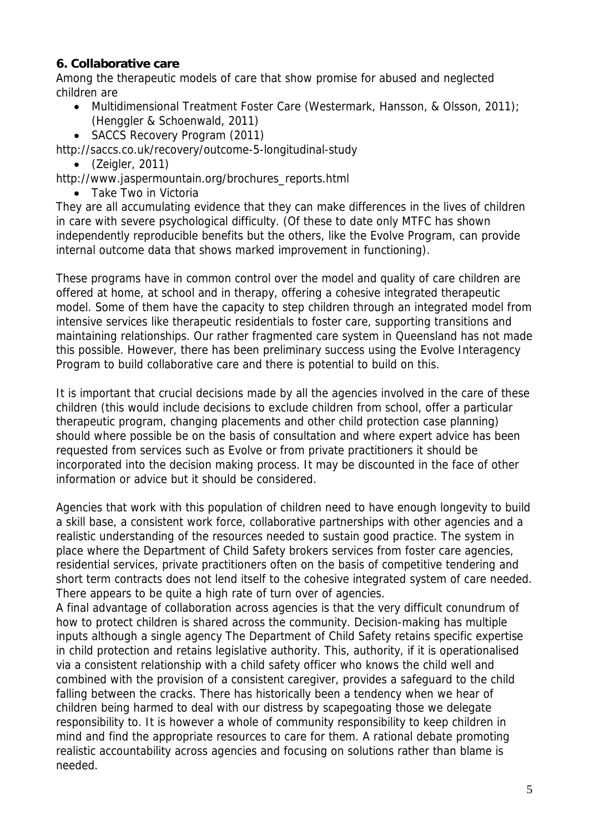#### **6. Collaborative care**

Among the therapeutic models of care that show promise for abused and neglected children are

- Multidimensional Treatment Foster Care [\(Westermark, Hansson, & Olsson, 2011\)](#page-26-3); [\(Henggler & Schoenwald, 2011](#page-26-4))
- SACCS Recovery Program (2011)

http://saccs.co.uk/recovery/outcome-5-longitudinal-study

(Zeigler, 2011)

http://www.jaspermountain.org/brochures\_reports.html

• Take Two in Victoria

They are all accumulating evidence that they can make differences in the lives of children in care with severe psychological difficulty. (Of these to date only MTFC has shown independently reproducible benefits but the others, like the Evolve Program, can provide internal outcome data that shows marked improvement in functioning).

These programs have in common control over the model and quality of care children are offered at home, at school and in therapy, offering a cohesive integrated therapeutic model. Some of them have the capacity to step children through an integrated model from intensive services like therapeutic residentials to foster care, supporting transitions and maintaining relationships. Our rather fragmented care system in Queensland has not made this possible. However, there has been preliminary success using the Evolve Interagency Program to build collaborative care and there is potential to build on this.

It is important that crucial decisions made by all the agencies involved in the care of these children (this would include decisions to exclude children from school, offer a particular therapeutic program, changing placements and other child protection case planning) should where possible be on the basis of consultation and where expert advice has been requested from services such as Evolve or from private practitioners it should be incorporated into the decision making process. It may be discounted in the face of other information or advice but it should be considered.

Agencies that work with this population of children need to have enough longevity to build a skill base, a consistent work force, collaborative partnerships with other agencies and a realistic understanding of the resources needed to sustain good practice. The system in place where the Department of Child Safety brokers services from foster care agencies, residential services, private practitioners often on the basis of competitive tendering and short term contracts does not lend itself to the cohesive integrated system of care needed. There appears to be quite a high rate of turn over of agencies.

A final advantage of collaboration across agencies is that the very difficult conundrum of how to protect children is shared across the community. Decision-making has multiple inputs although a single agency The Department of Child Safety retains specific expertise in child protection and retains legislative authority. This, authority, if it is operationalised via a consistent relationship with a child safety officer who knows the child well and combined with the provision of a consistent caregiver, provides a safeguard to the child falling between the cracks. There has historically been a tendency when we hear of children being harmed to deal with our distress by scapegoating those we delegate responsibility to. It is however a whole of community responsibility to keep children in mind and find the appropriate resources to care for them. A rational debate promoting realistic accountability across agencies and focusing on solutions rather than blame is needed.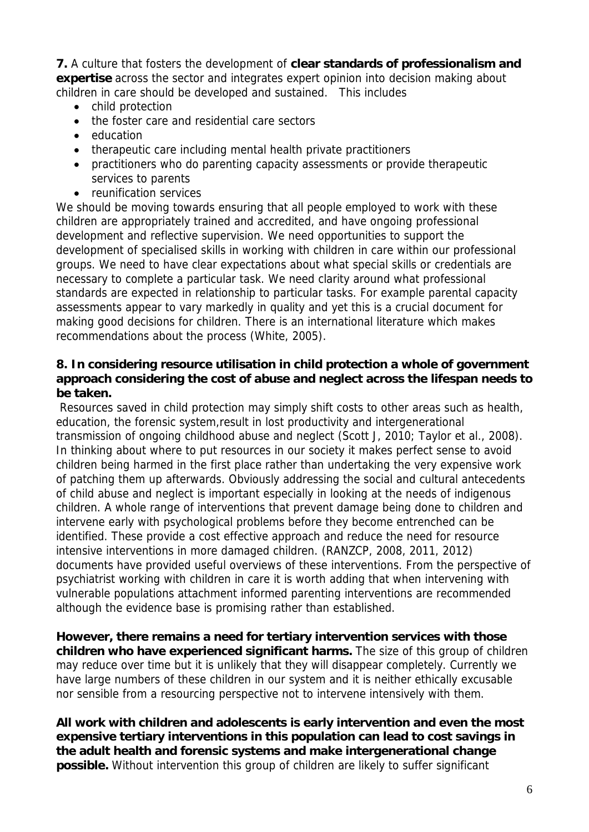**7.** A culture that fosters the development of **clear standards of professionalism and expertise** across the sector and integrates expert opinion into decision making about children in care should be developed and sustained. This includes

- child protection
- the foster care and residential care sectors
- education
- therapeutic care including mental health private practitioners
- practitioners who do parenting capacity assessments or provide therapeutic services to parents
- reunification services

We should be moving towards ensuring that all people employed to work with these children are appropriately trained and accredited, and have ongoing professional development and reflective supervision. We need opportunities to support the development of specialised skills in working with children in care within our professional groups. We need to have clear expectations about what special skills or credentials are necessary to complete a particular task. We need clarity around what professional standards are expected in relationship to particular tasks. For example parental capacity assessments appear to vary markedly in quality and yet this is a crucial document for making good decisions for children. There is an international literature which makes recommendations about the process ([White, 2005\)](#page-27-1).

#### **8. In considering resource utilisation in child protection a whole of government approach considering the cost of abuse and neglect across the lifespan needs to be taken.**

 Resources saved in child protection may simply shift costs to other areas such as health, education, the forensic system,result in lost productivity and intergenerational transmission of ongoing childhood abuse and neglect [\(Scott J, 2010](#page-26-5); [Taylor et al., 2008](#page-26-6)). In thinking about where to put resources in our society it makes perfect sense to avoid children being harmed in the first place rather than undertaking the very expensive work of patching them up afterwards. Obviously addressing the social and cultural antecedents of child abuse and neglect is important especially in looking at the needs of indigenous children. A whole range of interventions that prevent damage being done to children and intervene early with psychological problems before they become entrenched can be identified. These provide a cost effective approach and reduce the need for resource intensive interventions in more damaged children. ([RANZCP, 2008,](#page-26-7) [2011](#page-26-8), [2012\)](#page-26-9) documents have provided useful overviews of these interventions. From the perspective of psychiatrist working with children in care it is worth adding that when intervening with vulnerable populations attachment informed parenting interventions are recommended although the evidence base is promising rather than established.

**However, there remains a need for tertiary intervention services with those children who have experienced significant harms.** The size of this group of children may reduce over time but it is unlikely that they will disappear completely. Currently we have large numbers of these children in our system and it is neither ethically excusable nor sensible from a resourcing perspective not to intervene intensively with them.

**All work with children and adolescents is early intervention and even the most expensive tertiary interventions in this population can lead to cost savings in the adult health and forensic systems and make intergenerational change possible.** Without intervention this group of children are likely to suffer significant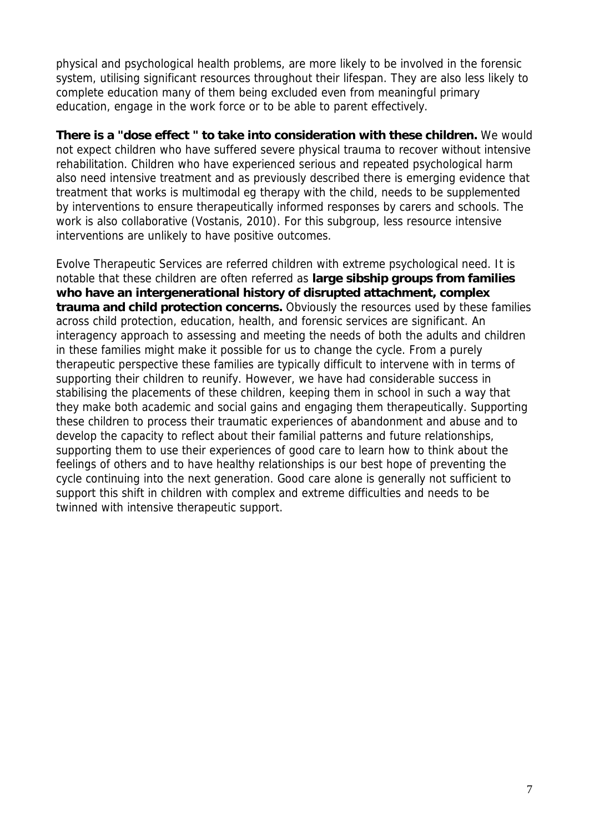physical and psychological health problems, are more likely to be involved in the forensic system, utilising significant resources throughout their lifespan. They are also less likely to complete education many of them being excluded even from meaningful primary education, engage in the work force or to be able to parent effectively.

**There is a "dose effect " to take into consideration with these children.** We would not expect children who have suffered severe physical trauma to recover without intensive rehabilitation. Children who have experienced serious and repeated psychological harm also need intensive treatment and as previously described there is emerging evidence that treatment that works is multimodal eg therapy with the child, needs to be supplemented by interventions to ensure therapeutically informed responses by carers and schools. The work is also collaborative ([Vostanis, 2010\)](#page-26-0). For this subgroup, less resource intensive interventions are unlikely to have positive outcomes.

Evolve Therapeutic Services are referred children with extreme psychological need. It is notable that these children are often referred as **large sibship groups from families who have an intergenerational history of disrupted attachment, complex trauma and child protection concerns.** Obviously the resources used by these families across child protection, education, health, and forensic services are significant. An interagency approach to assessing and meeting the needs of both the adults and children in these families might make it possible for us to change the cycle. From a purely therapeutic perspective these families are typically difficult to intervene with in terms of supporting their children to reunify. However, we have had considerable success in stabilising the placements of these children, keeping them in school in such a way that they make both academic and social gains and engaging them therapeutically. Supporting these children to process their traumatic experiences of abandonment and abuse and to develop the capacity to reflect about their familial patterns and future relationships, supporting them to use their experiences of good care to learn how to think about the feelings of others and to have healthy relationships is our best hope of preventing the cycle continuing into the next generation. Good care alone is generally not sufficient to support this shift in children with complex and extreme difficulties and needs to be twinned with intensive therapeutic support.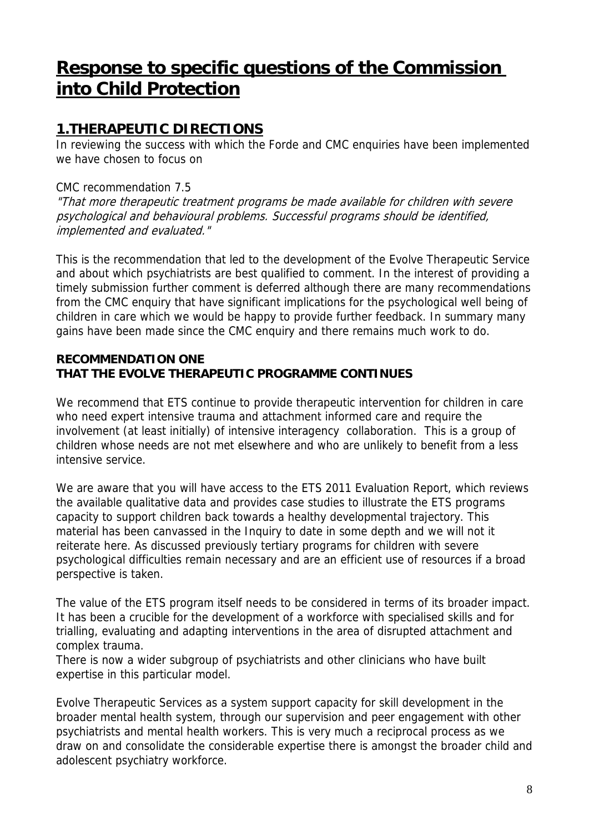## **Response to specific questions of the Commission into Child Protection**

## **1.THERAPEUTIC DIRECTIONS**

In reviewing the success with which the Forde and CMC enquiries have been implemented we have chosen to focus on

#### CMC recommendation 7.5

"That more therapeutic treatment programs be made available for children with severe psychological and behavioural problems. Successful programs should be identified, implemented and evaluated."

This is the recommendation that led to the development of the Evolve Therapeutic Service and about which psychiatrists are best qualified to comment. In the interest of providing a timely submission further comment is deferred although there are many recommendations from the CMC enquiry that have significant implications for the psychological well being of children in care which we would be happy to provide further feedback. In summary many gains have been made since the CMC enquiry and there remains much work to do.

#### **RECOMMENDATION ONE THAT THE EVOLVE THERAPEUTIC PROGRAMME CONTINUES**

We recommend that ETS continue to provide therapeutic intervention for children in care who need expert intensive trauma and attachment informed care and require the involvement (at least initially) of intensive interagency collaboration. This is a group of children whose needs are not met elsewhere and who are unlikely to benefit from a less intensive service.

We are aware that you will have access to the ETS 2011 Evaluation Report, which reviews the available qualitative data and provides case studies to illustrate the ETS programs capacity to support children back towards a healthy developmental trajectory. This material has been canvassed in the Inquiry to date in some depth and we will not it reiterate here. As discussed previously tertiary programs for children with severe psychological difficulties remain necessary and are an efficient use of resources if a broad perspective is taken.

The value of the ETS program itself needs to be considered in terms of its broader impact. It has been a crucible for the development of a workforce with specialised skills and for trialling, evaluating and adapting interventions in the area of disrupted attachment and complex trauma.

There is now a wider subgroup of psychiatrists and other clinicians who have built expertise in this particular model.

Evolve Therapeutic Services as a system support capacity for skill development in the broader mental health system, through our supervision and peer engagement with other psychiatrists and mental health workers. This is very much a reciprocal process as we draw on and consolidate the considerable expertise there is amongst the broader child and adolescent psychiatry workforce.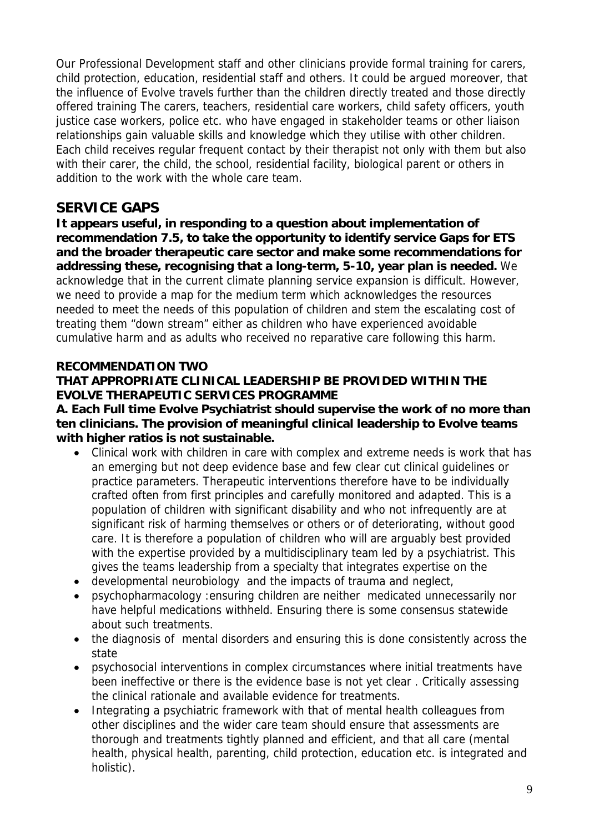Our Professional Development staff and other clinicians provide formal training for carers, child protection, education, residential staff and others. It could be argued moreover, that the influence of Evolve travels further than the children directly treated and those directly offered training The carers, teachers, residential care workers, child safety officers, youth justice case workers, police etc. who have engaged in stakeholder teams or other liaison relationships gain valuable skills and knowledge which they utilise with other children. Each child receives regular frequent contact by their therapist not only with them but also with their carer, the child, the school, residential facility, biological parent or others in addition to the work with the whole care team.

## **SERVICE GAPS**

**It appears useful, in responding to a question about implementation of recommendation 7.5, to take the opportunity to identify service Gaps for ETS and the broader therapeutic care sector and make some recommendations for addressing these, recognising that a long-term, 5-10, year plan is needed.** We acknowledge that in the current climate planning service expansion is difficult. However, we need to provide a map for the medium term which acknowledges the resources needed to meet the needs of this population of children and stem the escalating cost of treating them "down stream" either as children who have experienced avoidable cumulative harm and as adults who received no reparative care following this harm.

#### **RECOMMENDATION TWO**

#### **THAT APPROPRIATE CLINICAL LEADERSHIP BE PROVIDED WITHIN THE EVOLVE THERAPEUTIC SERVICES PROGRAMME**

**A. Each Full time Evolve Psychiatrist should supervise the work of no more than ten clinicians. The provision of meaningful clinical leadership to Evolve teams with higher ratios is not sustainable.** 

- Clinical work with children in care with complex and extreme needs is work that has an emerging but not deep evidence base and few clear cut clinical guidelines or practice parameters. Therapeutic interventions therefore have to be individually crafted often from first principles and carefully monitored and adapted. This is a population of children with significant disability and who not infrequently are at significant risk of harming themselves or others or of deteriorating, without good care. It is therefore a population of children who will are arguably best provided with the expertise provided by a multidisciplinary team led by a psychiatrist. This gives the teams leadership from a specialty that integrates expertise on the
- developmental neurobiology and the impacts of trauma and neglect,
- psychopharmacology :ensuring children are neither medicated unnecessarily nor have helpful medications withheld. Ensuring there is some consensus statewide about such treatments.
- the diagnosis of mental disorders and ensuring this is done consistently across the state
- psychosocial interventions in complex circumstances where initial treatments have been ineffective or there is the evidence base is not yet clear . Critically assessing the clinical rationale and available evidence for treatments.
- Integrating a psychiatric framework with that of mental health colleagues from other disciplines and the wider care team should ensure that assessments are thorough and treatments tightly planned and efficient, and that all care (mental health, physical health, parenting, child protection, education etc. is integrated and holistic).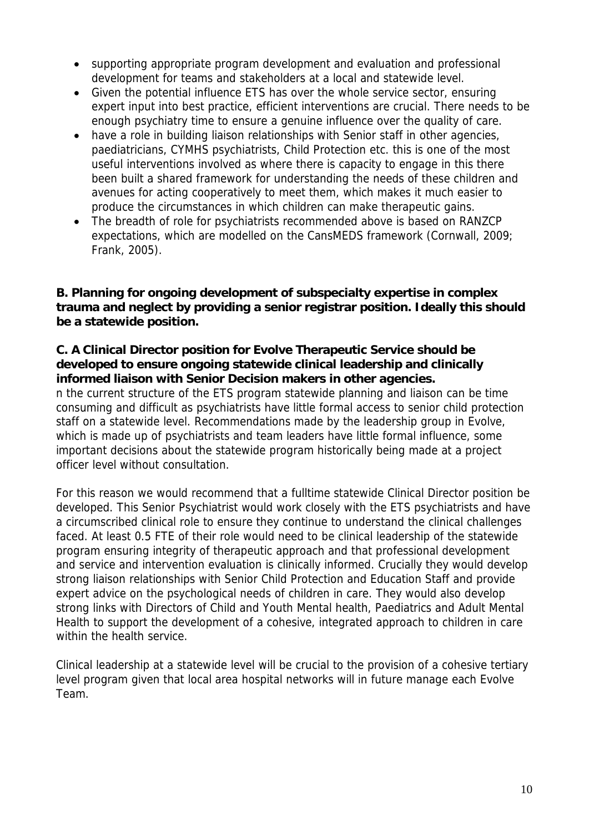- supporting appropriate program development and evaluation and professional development for teams and stakeholders at a local and statewide level.
- Given the potential influence ETS has over the whole service sector, ensuring expert input into best practice, efficient interventions are crucial. There needs to be enough psychiatry time to ensure a genuine influence over the quality of care.
- have a role in building liaison relationships with Senior staff in other agencies, paediatricians, CYMHS psychiatrists, Child Protection etc. this is one of the most useful interventions involved as where there is capacity to engage in this there been built a shared framework for understanding the needs of these children and avenues for acting cooperatively to meet them, which makes it much easier to produce the circumstances in which children can make therapeutic gains.
- The breadth of role for psychiatrists recommended above is based on RANZCP expectations, which are modelled on the CansMEDS framework ([Cornwall, 2009;](#page-26-10) [Frank, 2005\)](#page-26-11).

**B. Planning for ongoing development of subspecialty expertise in complex trauma and neglect by providing a senior registrar position. Ideally this should be a statewide position.** 

#### **C. A Clinical Director position for Evolve Therapeutic Service should be developed to ensure ongoing statewide clinical leadership and clinically informed liaison with Senior Decision makers in other agencies.**

n the current structure of the ETS program statewide planning and liaison can be time consuming and difficult as psychiatrists have little formal access to senior child protection staff on a statewide level. Recommendations made by the leadership group in Evolve, which is made up of psychiatrists and team leaders have little formal influence, some important decisions about the statewide program historically being made at a project officer level without consultation.

For this reason we would recommend that a fulltime statewide Clinical Director position be developed. This Senior Psychiatrist would work closely with the ETS psychiatrists and have a circumscribed clinical role to ensure they continue to understand the clinical challenges faced. At least 0.5 FTE of their role would need to be clinical leadership of the statewide program ensuring integrity of therapeutic approach and that professional development and service and intervention evaluation is clinically informed. Crucially they would develop strong liaison relationships with Senior Child Protection and Education Staff and provide expert advice on the psychological needs of children in care. They would also develop strong links with Directors of Child and Youth Mental health, Paediatrics and Adult Mental Health to support the development of a cohesive, integrated approach to children in care within the health service.

Clinical leadership at a statewide level will be crucial to the provision of a cohesive tertiary level program given that local area hospital networks will in future manage each Evolve Team.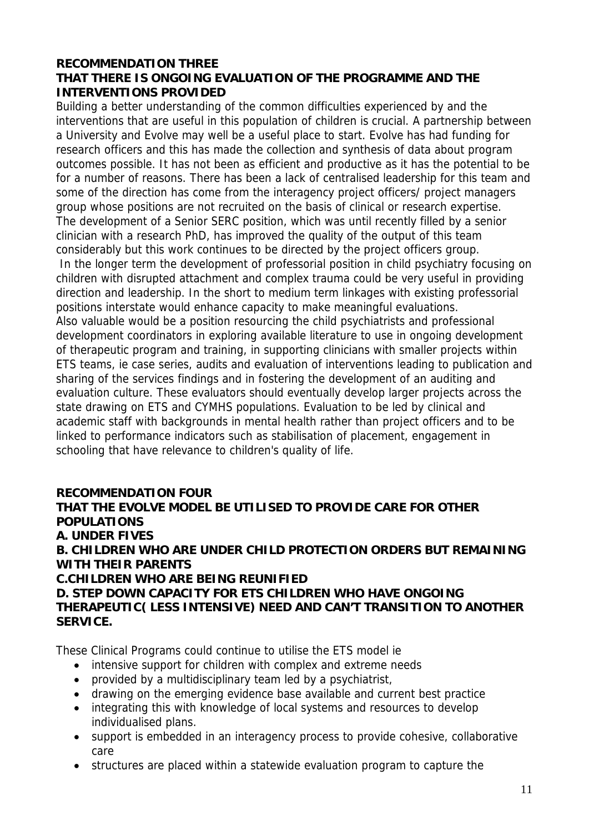#### **RECOMMENDATION THREE THAT THERE IS ONGOING EVALUATION OF THE PROGRAMME AND THE INTERVENTIONS PROVIDED**

Building a better understanding of the common difficulties experienced by and the interventions that are useful in this population of children is crucial. A partnership between a University and Evolve may well be a useful place to start. Evolve has had funding for research officers and this has made the collection and synthesis of data about program outcomes possible. It has not been as efficient and productive as it has the potential to be for a number of reasons. There has been a lack of centralised leadership for this team and some of the direction has come from the interagency project officers/ project managers group whose positions are not recruited on the basis of clinical or research expertise. The development of a Senior SERC position, which was until recently filled by a senior clinician with a research PhD, has improved the quality of the output of this team considerably but this work continues to be directed by the project officers group.

 In the longer term the development of professorial position in child psychiatry focusing on children with disrupted attachment and complex trauma could be very useful in providing direction and leadership. In the short to medium term linkages with existing professorial positions interstate would enhance capacity to make meaningful evaluations. Also valuable would be a position resourcing the child psychiatrists and professional development coordinators in exploring available literature to use in ongoing development of therapeutic program and training, in supporting clinicians with smaller projects within ETS teams, ie case series, audits and evaluation of interventions leading to publication and sharing of the services findings and in fostering the development of an auditing and evaluation culture. These evaluators should eventually develop larger projects across the state drawing on ETS and CYMHS populations. Evaluation to be led by clinical and academic staff with backgrounds in mental health rather than project officers and to be linked to performance indicators such as stabilisation of placement, engagement in schooling that have relevance to children's quality of life.

#### **RECOMMENDATION FOUR**

#### **THAT THE EVOLVE MODEL BE UTILISED TO PROVIDE CARE FOR OTHER POPULATIONS A. UNDER FIVES**

**B. CHILDREN WHO ARE UNDER CHILD PROTECTION ORDERS BUT REMAINING WITH THEIR PARENTS** 

**C.CHILDREN WHO ARE BEING REUNIFIED** 

#### **D. STEP DOWN CAPACITY FOR ETS CHILDREN WHO HAVE ONGOING THERAPEUTIC( LESS INTENSIVE) NEED AND CAN'T TRANSITION TO ANOTHER SERVICE.**

These Clinical Programs could continue to utilise the ETS model ie

- intensive support for children with complex and extreme needs
- provided by a multidisciplinary team led by a psychiatrist,
- drawing on the emerging evidence base available and current best practice
- integrating this with knowledge of local systems and resources to develop individualised plans.
- support is embedded in an interagency process to provide cohesive, collaborative care
- structures are placed within a statewide evaluation program to capture the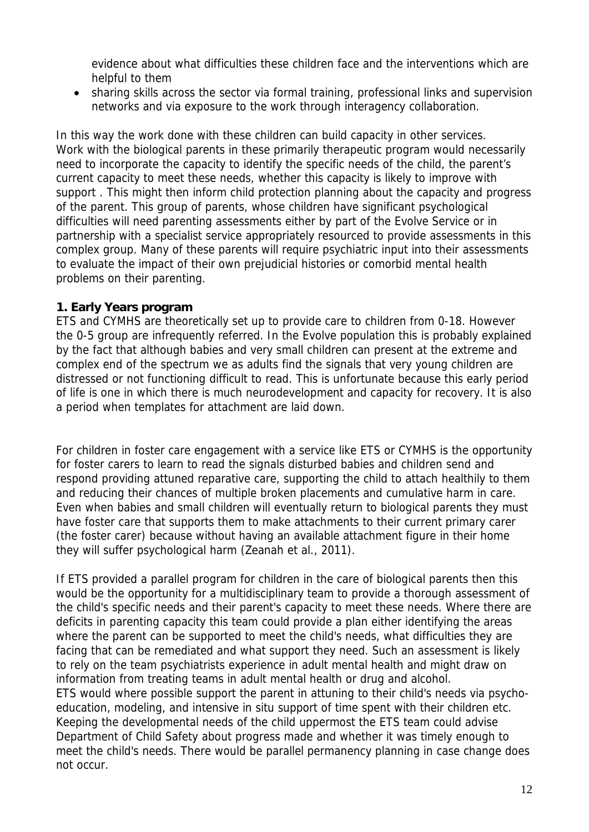evidence about what difficulties these children face and the interventions which are helpful to them

 sharing skills across the sector via formal training, professional links and supervision networks and via exposure to the work through interagency collaboration.

In this way the work done with these children can build capacity in other services. Work with the biological parents in these primarily therapeutic program would necessarily need to incorporate the capacity to identify the specific needs of the child, the parent's current capacity to meet these needs, whether this capacity is likely to improve with support . This might then inform child protection planning about the capacity and progress of the parent. This group of parents, whose children have significant psychological difficulties will need parenting assessments either by part of the Evolve Service or in partnership with a specialist service appropriately resourced to provide assessments in this complex group. Many of these parents will require psychiatric input into their assessments to evaluate the impact of their own prejudicial histories or comorbid mental health problems on their parenting.

#### **1. Early Years program**

ETS and CYMHS are theoretically set up to provide care to children from 0-18. However the 0-5 group are infrequently referred. In the Evolve population this is probably explained by the fact that although babies and very small children can present at the extreme and complex end of the spectrum we as adults find the signals that very young children are distressed or not functioning difficult to read. This is unfortunate because this early period of life is one in which there is much neurodevelopment and capacity for recovery. It is also a period when templates for attachment are laid down.

For children in foster care engagement with a service like ETS or CYMHS is the opportunity for foster carers to learn to read the signals disturbed babies and children send and respond providing attuned reparative care, supporting the child to attach healthily to them and reducing their chances of multiple broken placements and cumulative harm in care. Even when babies and small children will eventually return to biological parents they must have foster care that supports them to make attachments to their current primary carer (the foster carer) because without having an available attachment figure in their home they will suffer psychological harm ([Zeanah et al., 2011](#page-27-0)).

If ETS provided a parallel program for children in the care of biological parents then this would be the opportunity for a multidisciplinary team to provide a thorough assessment of the child's specific needs and their parent's capacity to meet these needs. Where there are deficits in parenting capacity this team could provide a plan either identifying the areas where the parent can be supported to meet the child's needs, what difficulties they are facing that can be remediated and what support they need. Such an assessment is likely to rely on the team psychiatrists experience in adult mental health and might draw on information from treating teams in adult mental health or drug and alcohol. ETS would where possible support the parent in attuning to their child's needs via psychoeducation, modeling, and intensive in situ support of time spent with their children etc. Keeping the developmental needs of the child uppermost the ETS team could advise Department of Child Safety about progress made and whether it was timely enough to meet the child's needs. There would be parallel permanency planning in case change does not occur.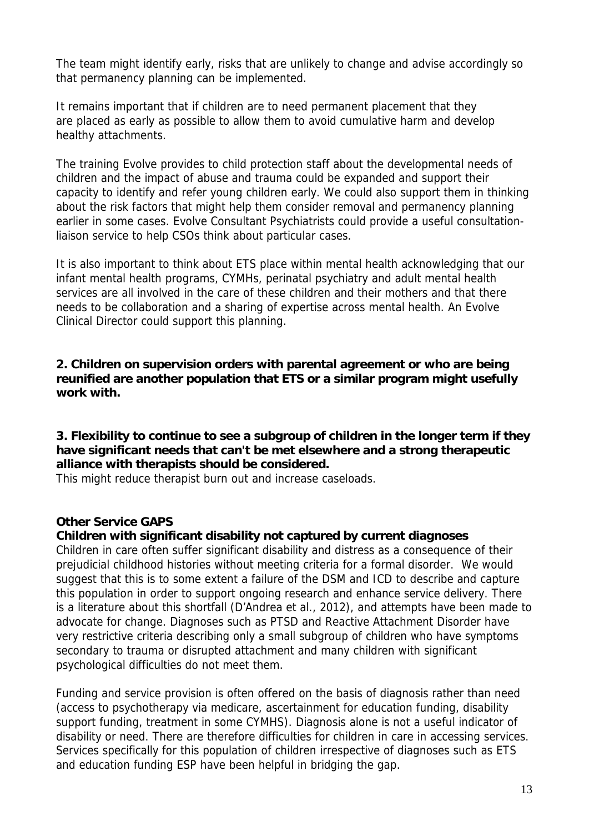The team might identify early, risks that are unlikely to change and advise accordingly so that permanency planning can be implemented.

It remains important that if children are to need permanent placement that they are placed as early as possible to allow them to avoid cumulative harm and develop healthy attachments.

The training Evolve provides to child protection staff about the developmental needs of children and the impact of abuse and trauma could be expanded and support their capacity to identify and refer young children early. We could also support them in thinking about the risk factors that might help them consider removal and permanency planning earlier in some cases. Evolve Consultant Psychiatrists could provide a useful consultationliaison service to help CSOs think about particular cases.

It is also important to think about ETS place within mental health acknowledging that our infant mental health programs, CYMHs, perinatal psychiatry and adult mental health services are all involved in the care of these children and their mothers and that there needs to be collaboration and a sharing of expertise across mental health. An Evolve Clinical Director could support this planning.

**2. Children on supervision orders with parental agreement or who are being reunified are another population that ETS or a similar program might usefully work with.** 

#### **3. Flexibility to continue to see a subgroup of children in the longer term if they have significant needs that can't be met elsewhere and a strong therapeutic alliance with therapists should be considered.**

This might reduce therapist burn out and increase caseloads.

#### **Other Service GAPS**

#### **Children with significant disability not captured by current diagnoses**

Children in care often suffer significant disability and distress as a consequence of their prejudicial childhood histories without meeting criteria for a formal disorder. We would suggest that this is to some extent a failure of the DSM and ICD to describe and capture this population in order to support ongoing research and enhance service delivery. There is a literature about this shortfall (D'Andrea et al., 2012), and attempts have been made to advocate for change. Diagnoses such as PTSD and Reactive Attachment Disorder have very restrictive criteria describing only a small subgroup of children who have symptoms secondary to trauma or disrupted attachment and many children with significant psychological difficulties do not meet them.

Funding and service provision is often offered on the basis of diagnosis rather than need (access to psychotherapy via medicare, ascertainment for education funding, disability support funding, treatment in some CYMHS). Diagnosis alone is not a useful indicator of disability or need. There are therefore difficulties for children in care in accessing services. Services specifically for this population of children irrespective of diagnoses such as ETS and education funding ESP have been helpful in bridging the gap.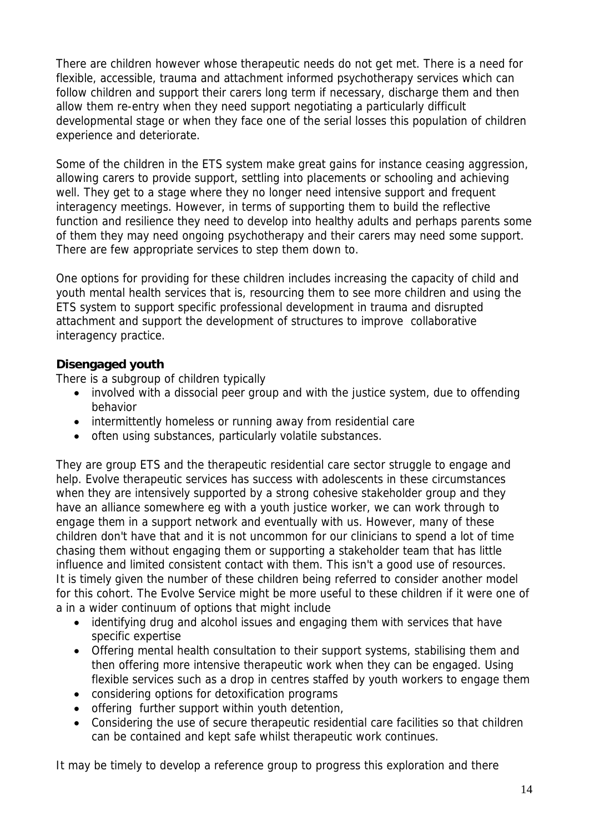There are children however whose therapeutic needs do not get met. There is a need for flexible, accessible, trauma and attachment informed psychotherapy services which can follow children and support their carers long term if necessary, discharge them and then allow them re-entry when they need support negotiating a particularly difficult developmental stage or when they face one of the serial losses this population of children experience and deteriorate.

Some of the children in the ETS system make great gains for instance ceasing aggression, allowing carers to provide support, settling into placements or schooling and achieving well. They get to a stage where they no longer need intensive support and frequent interagency meetings. However, in terms of supporting them to build the reflective function and resilience they need to develop into healthy adults and perhaps parents some of them they may need ongoing psychotherapy and their carers may need some support. There are few appropriate services to step them down to.

One options for providing for these children includes increasing the capacity of child and youth mental health services that is, resourcing them to see more children and using the ETS system to support specific professional development in trauma and disrupted attachment and support the development of structures to improve collaborative interagency practice.

#### **Disengaged youth**

There is a subgroup of children typically

- involved with a dissocial peer group and with the justice system, due to offending behavior
- intermittently homeless or running away from residential care
- often using substances, particularly volatile substances.

They are group ETS and the therapeutic residential care sector struggle to engage and help. Evolve therapeutic services has success with adolescents in these circumstances when they are intensively supported by a strong cohesive stakeholder group and they have an alliance somewhere eg with a youth justice worker, we can work through to engage them in a support network and eventually with us. However, many of these children don't have that and it is not uncommon for our clinicians to spend a lot of time chasing them without engaging them or supporting a stakeholder team that has little influence and limited consistent contact with them. This isn't a good use of resources. It is timely given the number of these children being referred to consider another model for this cohort. The Evolve Service might be more useful to these children if it were one of a in a wider continuum of options that might include

- identifying drug and alcohol issues and engaging them with services that have specific expertise
- Offering mental health consultation to their support systems, stabilising them and then offering more intensive therapeutic work when they can be engaged. Using flexible services such as a drop in centres staffed by youth workers to engage them
- considering options for detoxification programs
- offering further support within youth detention,
- Considering the use of secure therapeutic residential care facilities so that children can be contained and kept safe whilst therapeutic work continues.

It may be timely to develop a reference group to progress this exploration and there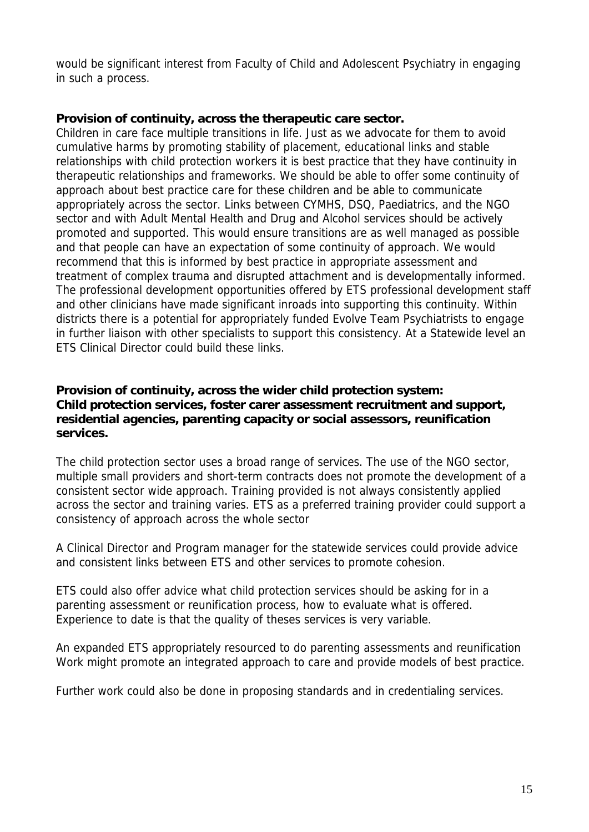would be significant interest from Faculty of Child and Adolescent Psychiatry in engaging in such a process.

#### **Provision of continuity, across the therapeutic care sector.**

Children in care face multiple transitions in life. Just as we advocate for them to avoid cumulative harms by promoting stability of placement, educational links and stable relationships with child protection workers it is best practice that they have continuity in therapeutic relationships and frameworks. We should be able to offer some continuity of approach about best practice care for these children and be able to communicate appropriately across the sector. Links between CYMHS, DSQ, Paediatrics, and the NGO sector and with Adult Mental Health and Drug and Alcohol services should be actively promoted and supported. This would ensure transitions are as well managed as possible and that people can have an expectation of some continuity of approach. We would recommend that this is informed by best practice in appropriate assessment and treatment of complex trauma and disrupted attachment and is developmentally informed. The professional development opportunities offered by ETS professional development staff and other clinicians have made significant inroads into supporting this continuity. Within districts there is a potential for appropriately funded Evolve Team Psychiatrists to engage in further liaison with other specialists to support this consistency. At a Statewide level an ETS Clinical Director could build these links.

#### **Provision of continuity, across the wider child protection system: Child protection services, foster carer assessment recruitment and support, residential agencies, parenting capacity or social assessors, reunification services.**

The child protection sector uses a broad range of services. The use of the NGO sector, multiple small providers and short-term contracts does not promote the development of a consistent sector wide approach. Training provided is not always consistently applied across the sector and training varies. ETS as a preferred training provider could support a consistency of approach across the whole sector

A Clinical Director and Program manager for the statewide services could provide advice and consistent links between ETS and other services to promote cohesion.

ETS could also offer advice what child protection services should be asking for in a parenting assessment or reunification process, how to evaluate what is offered. Experience to date is that the quality of theses services is very variable.

An expanded ETS appropriately resourced to do parenting assessments and reunification Work might promote an integrated approach to care and provide models of best practice.

Further work could also be done in proposing standards and in credentialing services.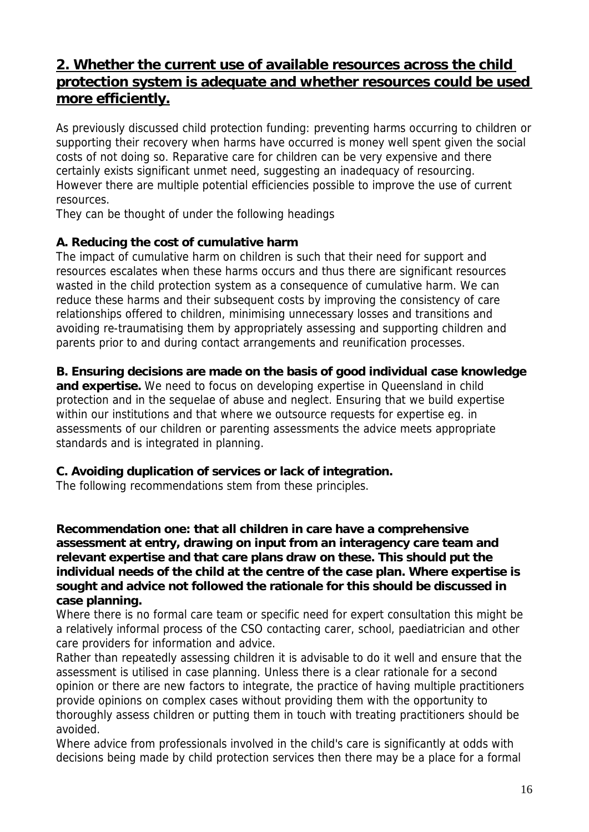## **2. Whether the current use of available resources across the child protection system is adequate and whether resources could be used more efficiently.**

As previously discussed child protection funding: preventing harms occurring to children or supporting their recovery when harms have occurred is money well spent given the social costs of not doing so. Reparative care for children can be very expensive and there certainly exists significant unmet need, suggesting an inadequacy of resourcing. However there are multiple potential efficiencies possible to improve the use of current resources.

They can be thought of under the following headings

#### **A. Reducing the cost of cumulative harm**

The impact of cumulative harm on children is such that their need for support and resources escalates when these harms occurs and thus there are significant resources wasted in the child protection system as a consequence of cumulative harm. We can reduce these harms and their subsequent costs by improving the consistency of care relationships offered to children, minimising unnecessary losses and transitions and avoiding re-traumatising them by appropriately assessing and supporting children and parents prior to and during contact arrangements and reunification processes.

#### **B. Ensuring decisions are made on the basis of good individual case knowledge**

**and expertise.** We need to focus on developing expertise in Queensland in child protection and in the sequelae of abuse and neglect. Ensuring that we build expertise within our institutions and that where we outsource requests for expertise eg. in assessments of our children or parenting assessments the advice meets appropriate standards and is integrated in planning.

#### **C. Avoiding duplication of services or lack of integration.**

The following recommendations stem from these principles.

**Recommendation one: that all children in care have a comprehensive assessment at entry, drawing on input from an interagency care team and relevant expertise and that care plans draw on these. This should put the individual needs of the child at the centre of the case plan. Where expertise is sought and advice not followed the rationale for this should be discussed in case planning.** 

Where there is no formal care team or specific need for expert consultation this might be a relatively informal process of the CSO contacting carer, school, paediatrician and other care providers for information and advice.

Rather than repeatedly assessing children it is advisable to do it well and ensure that the assessment is utilised in case planning. Unless there is a clear rationale for a second opinion or there are new factors to integrate, the practice of having multiple practitioners provide opinions on complex cases without providing them with the opportunity to thoroughly assess children or putting them in touch with treating practitioners should be avoided.

Where advice from professionals involved in the child's care is significantly at odds with decisions being made by child protection services then there may be a place for a formal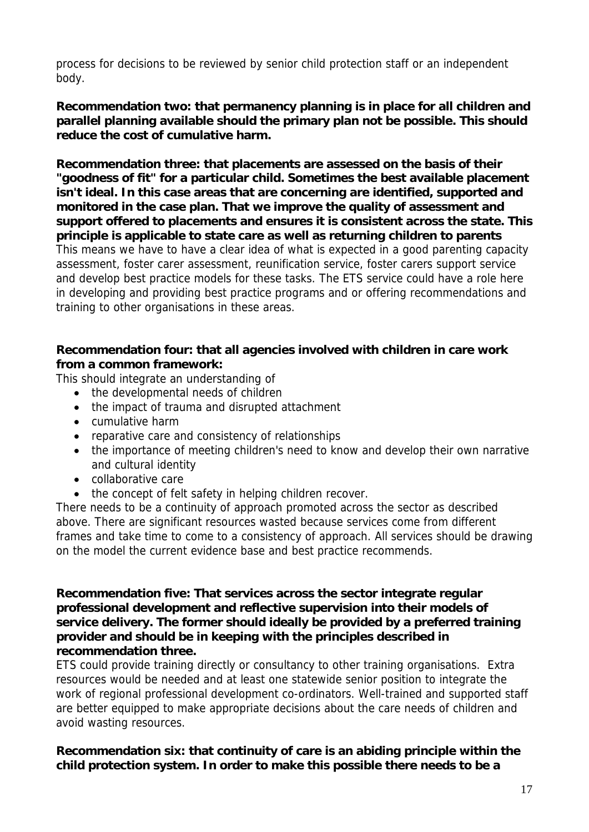process for decisions to be reviewed by senior child protection staff or an independent body.

**Recommendation two: that permanency planning is in place for all children and parallel planning available should the primary plan not be possible. This should reduce the cost of cumulative harm.** 

**Recommendation three: that placements are assessed on the basis of their "goodness of fit" for a particular child. Sometimes the best available placement isn't ideal. In this case areas that are concerning are identified, supported and monitored in the case plan. That we improve the quality of assessment and support offered to placements and ensures it is consistent across the state. This principle is applicable to state care as well as returning children to parents**  This means we have to have a clear idea of what is expected in a good parenting capacity assessment, foster carer assessment, reunification service, foster carers support service and develop best practice models for these tasks. The ETS service could have a role here in developing and providing best practice programs and or offering recommendations and training to other organisations in these areas.

#### **Recommendation four: that all agencies involved with children in care work from a common framework:**

This should integrate an understanding of

- the developmental needs of children
- the impact of trauma and disrupted attachment
- cumulative harm
- reparative care and consistency of relationships
- the importance of meeting children's need to know and develop their own narrative and cultural identity
- collaborative care
- the concept of felt safety in helping children recover.

There needs to be a continuity of approach promoted across the sector as described above. There are significant resources wasted because services come from different frames and take time to come to a consistency of approach. All services should be drawing on the model the current evidence base and best practice recommends.

**Recommendation five: That services across the sector integrate regular professional development and reflective supervision into their models of service delivery. The former should ideally be provided by a preferred training provider and should be in keeping with the principles described in recommendation three.** 

ETS could provide training directly or consultancy to other training organisations. Extra resources would be needed and at least one statewide senior position to integrate the work of regional professional development co-ordinators. Well-trained and supported staff are better equipped to make appropriate decisions about the care needs of children and avoid wasting resources.

#### **Recommendation six: that continuity of care is an abiding principle within the child protection system. In order to make this possible there needs to be a**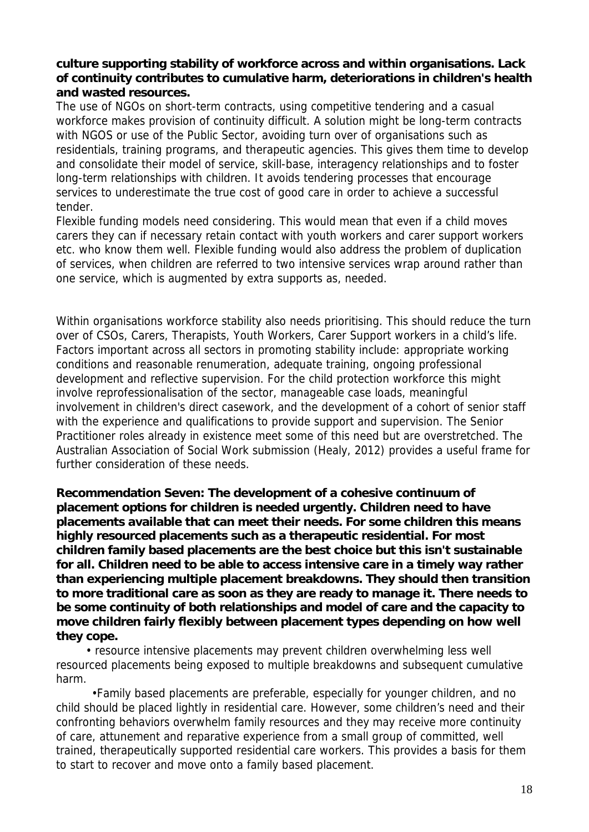#### **culture supporting stability of workforce across and within organisations. Lack of continuity contributes to cumulative harm, deteriorations in children's health and wasted resources.**

The use of NGOs on short-term contracts, using competitive tendering and a casual workforce makes provision of continuity difficult. A solution might be long-term contracts with NGOS or use of the Public Sector, avoiding turn over of organisations such as residentials, training programs, and therapeutic agencies. This gives them time to develop and consolidate their model of service, skill-base, interagency relationships and to foster long-term relationships with children. It avoids tendering processes that encourage services to underestimate the true cost of good care in order to achieve a successful tender.

Flexible funding models need considering. This would mean that even if a child moves carers they can if necessary retain contact with youth workers and carer support workers etc. who know them well. Flexible funding would also address the problem of duplication of services, when children are referred to two intensive services wrap around rather than one service, which is augmented by extra supports as, needed.

Within organisations workforce stability also needs prioritising. This should reduce the turn over of CSOs, Carers, Therapists, Youth Workers, Carer Support workers in a child's life. Factors important across all sectors in promoting stability include: appropriate working conditions and reasonable renumeration, adequate training, ongoing professional development and reflective supervision. For the child protection workforce this might involve reprofessionalisation of the sector, manageable case loads, meaningful involvement in children's direct casework, and the development of a cohort of senior staff with the experience and qualifications to provide support and supervision. The Senior Practitioner roles already in existence meet some of this need but are overstretched. The Australian Association of Social Work submission ([Healy, 2012\)](#page-26-12) provides a useful frame for further consideration of these needs.

**Recommendation Seven: The development of a cohesive continuum of placement options for children is needed urgently. Children need to have placements available that can meet their needs. For some children this means highly resourced placements such as a therapeutic residential. For most children family based placements are the best choice but this isn't sustainable for all. Children need to be able to access intensive care in a timely way rather than experiencing multiple placement breakdowns. They should then transition to more traditional care as soon as they are ready to manage it. There needs to be some continuity of both relationships and model of care and the capacity to move children fairly flexibly between placement types depending on how well they cope.** 

 • resource intensive placements may prevent children overwhelming less well resourced placements being exposed to multiple breakdowns and subsequent cumulative harm.

 •Family based placements are preferable, especially for younger children, and no child should be placed lightly in residential care. However, some children's need and their confronting behaviors overwhelm family resources and they may receive more continuity of care, attunement and reparative experience from a small group of committed, well trained, therapeutically supported residential care workers. This provides a basis for them to start to recover and move onto a family based placement.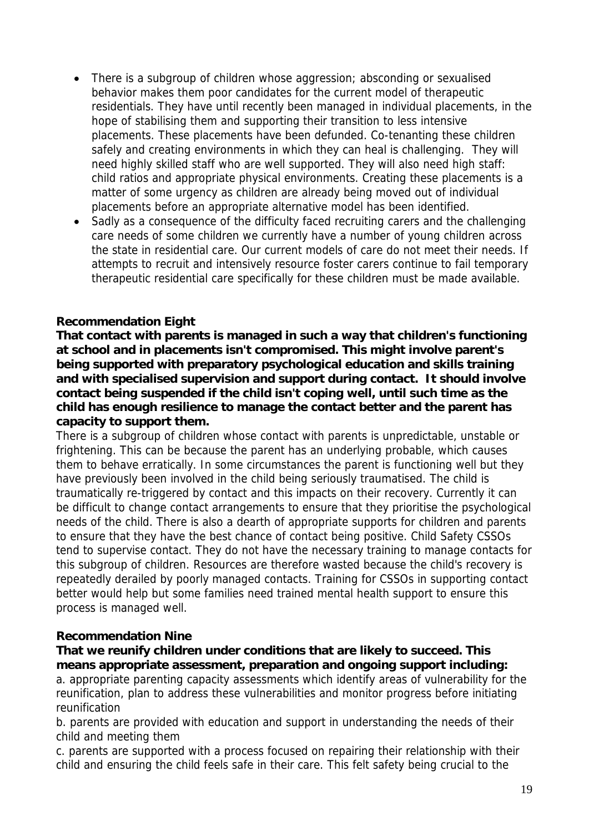- There is a subgroup of children whose aggression; absconding or sexualised behavior makes them poor candidates for the current model of therapeutic residentials. They have until recently been managed in individual placements, in the hope of stabilising them and supporting their transition to less intensive placements. These placements have been defunded. Co-tenanting these children safely and creating environments in which they can heal is challenging. They will need highly skilled staff who are well supported. They will also need high staff: child ratios and appropriate physical environments. Creating these placements is a matter of some urgency as children are already being moved out of individual placements before an appropriate alternative model has been identified.
- Sadly as a consequence of the difficulty faced recruiting carers and the challenging care needs of some children we currently have a number of young children across the state in residential care. Our current models of care do not meet their needs. If attempts to recruit and intensively resource foster carers continue to fail temporary therapeutic residential care specifically for these children must be made available.

#### **Recommendation Eight**

**That contact with parents is managed in such a way that children's functioning at school and in placements isn't compromised. This might involve parent's being supported with preparatory psychological education and skills training and with specialised supervision and support during contact. It should involve contact being suspended if the child isn't coping well, until such time as the child has enough resilience to manage the contact better and the parent has capacity to support them.** 

There is a subgroup of children whose contact with parents is unpredictable, unstable or frightening. This can be because the parent has an underlying probable, which causes them to behave erratically. In some circumstances the parent is functioning well but they have previously been involved in the child being seriously traumatised. The child is traumatically re-triggered by contact and this impacts on their recovery. Currently it can be difficult to change contact arrangements to ensure that they prioritise the psychological needs of the child. There is also a dearth of appropriate supports for children and parents to ensure that they have the best chance of contact being positive. Child Safety CSSOs tend to supervise contact. They do not have the necessary training to manage contacts for this subgroup of children. Resources are therefore wasted because the child's recovery is repeatedly derailed by poorly managed contacts. Training for CSSOs in supporting contact better would help but some families need trained mental health support to ensure this process is managed well.

#### **Recommendation Nine**

**That we reunify children under conditions that are likely to succeed. This means appropriate assessment, preparation and ongoing support including:** 

a. appropriate parenting capacity assessments which identify areas of vulnerability for the reunification, plan to address these vulnerabilities and monitor progress before initiating reunification

b. parents are provided with education and support in understanding the needs of their child and meeting them

c. parents are supported with a process focused on repairing their relationship with their child and ensuring the child feels safe in their care. This felt safety being crucial to the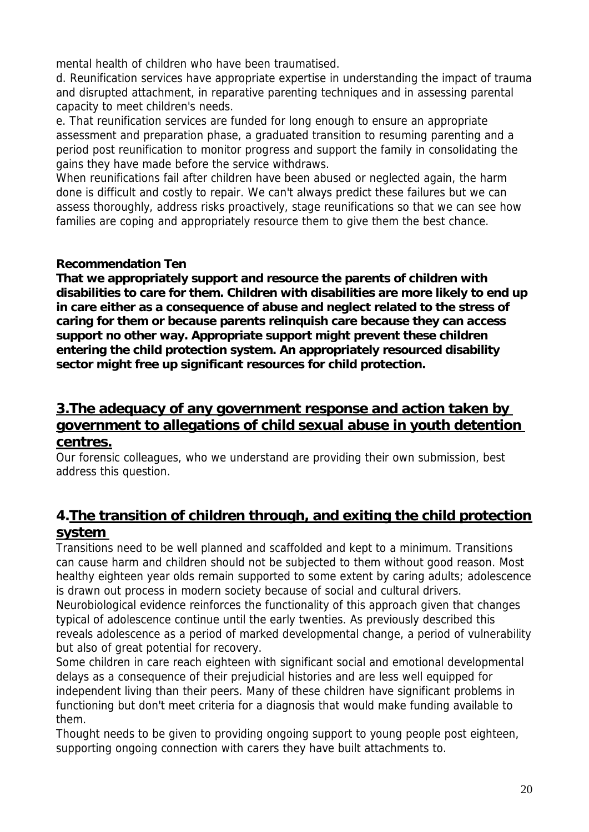mental health of children who have been traumatised.

d. Reunification services have appropriate expertise in understanding the impact of trauma and disrupted attachment, in reparative parenting techniques and in assessing parental capacity to meet children's needs.

e. That reunification services are funded for long enough to ensure an appropriate assessment and preparation phase, a graduated transition to resuming parenting and a period post reunification to monitor progress and support the family in consolidating the gains they have made before the service withdraws.

When reunifications fail after children have been abused or neglected again, the harm done is difficult and costly to repair. We can't always predict these failures but we can assess thoroughly, address risks proactively, stage reunifications so that we can see how families are coping and appropriately resource them to give them the best chance.

#### **Recommendation Ten**

**That we appropriately support and resource the parents of children with disabilities to care for them. Children with disabilities are more likely to end up in care either as a consequence of abuse and neglect related to the stress of caring for them or because parents relinquish care because they can access support no other way. Appropriate support might prevent these children entering the child protection system. An appropriately resourced disability sector might free up significant resources for child protection.** 

#### **3.The adequacy of any government response and action taken by government to allegations of child sexual abuse in youth detention centres.**

Our forensic colleagues, who we understand are providing their own submission, best address this question.

## **4.The transition of children through, and exiting the child protection system**

Transitions need to be well planned and scaffolded and kept to a minimum. Transitions can cause harm and children should not be subjected to them without good reason. Most healthy eighteen year olds remain supported to some extent by caring adults; adolescence is drawn out process in modern society because of social and cultural drivers.

Neurobiological evidence reinforces the functionality of this approach given that changes typical of adolescence continue until the early twenties. As previously described this reveals adolescence as a period of marked developmental change, a period of vulnerability but also of great potential for recovery.

Some children in care reach eighteen with significant social and emotional developmental delays as a consequence of their prejudicial histories and are less well equipped for independent living than their peers. Many of these children have significant problems in functioning but don't meet criteria for a diagnosis that would make funding available to them.

Thought needs to be given to providing ongoing support to young people post eighteen, supporting ongoing connection with carers they have built attachments to.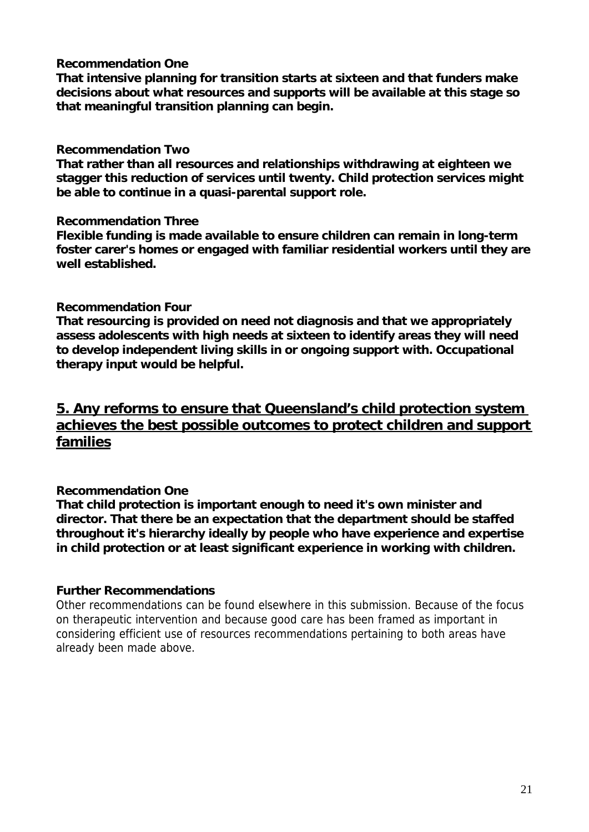#### **Recommendation One**

**That intensive planning for transition starts at sixteen and that funders make decisions about what resources and supports will be available at this stage so that meaningful transition planning can begin.** 

#### **Recommendation Two**

**That rather than all resources and relationships withdrawing at eighteen we stagger this reduction of services until twenty. Child protection services might be able to continue in a quasi-parental support role.** 

#### **Recommendation Three**

**Flexible funding is made available to ensure children can remain in long-term foster carer's homes or engaged with familiar residential workers until they are well established.** 

#### **Recommendation Four**

**That resourcing is provided on need not diagnosis and that we appropriately assess adolescents with high needs at sixteen to identify areas they will need to develop independent living skills in or ongoing support with. Occupational therapy input would be helpful.** 

## **5. Any reforms to ensure that Queensland's child protection system achieves the best possible outcomes to protect children and support families**

#### **Recommendation One**

**That child protection is important enough to need it's own minister and director. That there be an expectation that the department should be staffed throughout it's hierarchy ideally by people who have experience and expertise in child protection or at least significant experience in working with children.** 

#### **Further Recommendations**

Other recommendations can be found elsewhere in this submission. Because of the focus on therapeutic intervention and because good care has been framed as important in considering efficient use of resources recommendations pertaining to both areas have already been made above.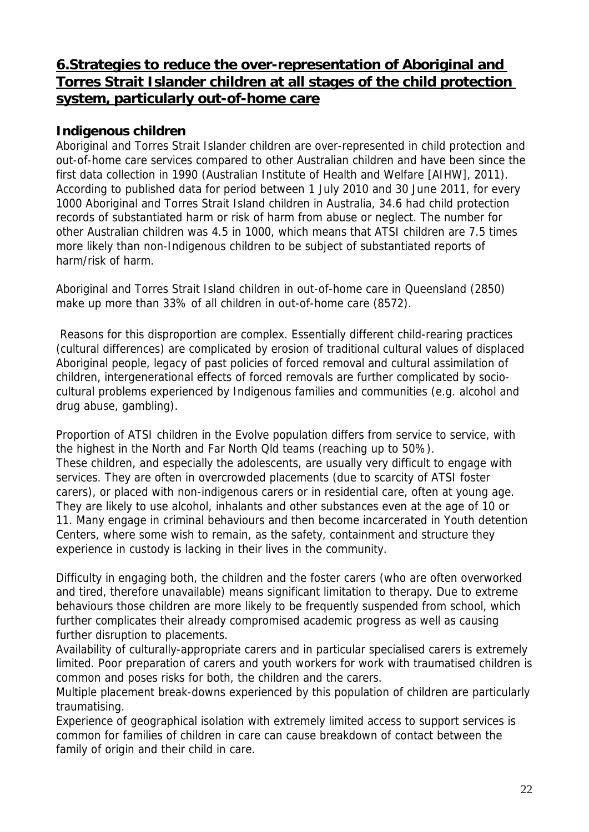## **6.Strategies to reduce the over-representation of Aboriginal and Torres Strait Islander children at all stages of the child protection system, particularly out-of-home care**

#### **Indigenous children**

Aboriginal and Torres Strait Islander children are over-represented in child protection and out-of-home care services compared to other Australian children and have been since the first data collection in 1990 (Australian Institute of Health and Welfare [AIHW], 2011). According to published data for period between 1 July 2010 and 30 June 2011, for every 1000 Aboriginal and Torres Strait Island children in Australia, 34.6 had child protection records of substantiated harm or risk of harm from abuse or neglect. The number for other Australian children was 4.5 in 1000, which means that ATSI children are 7.5 times more likely than non-Indigenous children to be subject of substantiated reports of harm/risk of harm.

Aboriginal and Torres Strait Island children in out-of-home care in Queensland (2850) make up more than 33% of all children in out-of-home care (8572).

Reasons for this disproportion are complex. Essentially different child-rearing practices (cultural differences) are complicated by erosion of traditional cultural values of displaced Aboriginal people, legacy of past policies of forced removal and cultural assimilation of children, intergenerational effects of forced removals are further complicated by sociocultural problems experienced by Indigenous families and communities (e.g. alcohol and drug abuse, gambling).

Proportion of ATSI children in the Evolve population differs from service to service, with the highest in the North and Far North Qld teams (reaching up to 50%). These children, and especially the adolescents, are usually very difficult to engage with services. They are often in overcrowded placements (due to scarcity of ATSI foster carers), or placed with non-indigenous carers or in residential care, often at young age. They are likely to use alcohol, inhalants and other substances even at the age of 10 or 11. Many engage in criminal behaviours and then become incarcerated in Youth detention Centers, where some wish to remain, as the safety, containment and structure they experience in custody is lacking in their lives in the community.

Difficulty in engaging both, the children and the foster carers (who are often overworked and tired, therefore unavailable) means significant limitation to therapy. Due to extreme behaviours those children are more likely to be frequently suspended from school, which further complicates their already compromised academic progress as well as causing further disruption to placements.

Availability of culturally-appropriate carers and in particular specialised carers is extremely limited. Poor preparation of carers and youth workers for work with traumatised children is common and poses risks for both, the children and the carers.

Multiple placement break-downs experienced by this population of children are particularly traumatising.

Experience of geographical isolation with extremely limited access to support services is common for families of children in care can cause breakdown of contact between the family of origin and their child in care.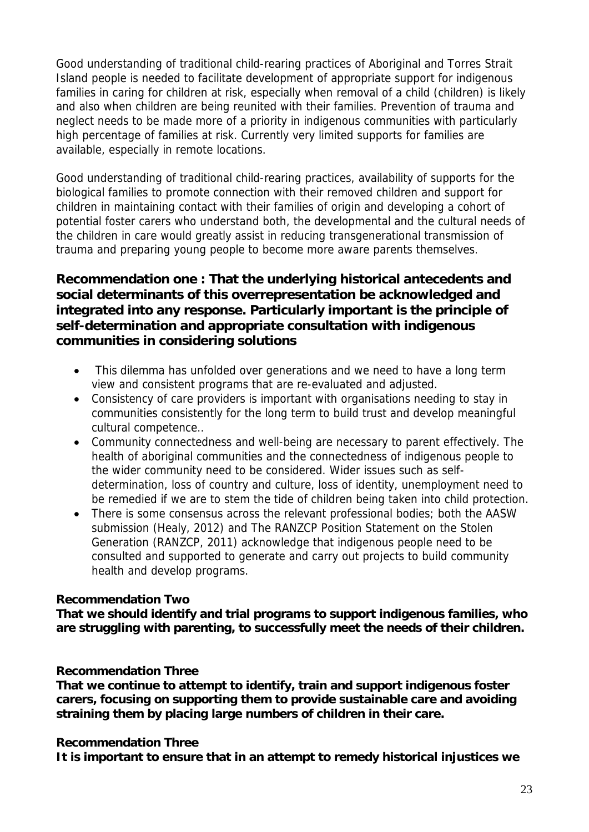Good understanding of traditional child-rearing practices of Aboriginal and Torres Strait Island people is needed to facilitate development of appropriate support for indigenous families in caring for children at risk, especially when removal of a child (children) is likely and also when children are being reunited with their families. Prevention of trauma and neglect needs to be made more of a priority in indigenous communities with particularly high percentage of families at risk. Currently very limited supports for families are available, especially in remote locations.

Good understanding of traditional child-rearing practices, availability of supports for the biological families to promote connection with their removed children and support for children in maintaining contact with their families of origin and developing a cohort of potential foster carers who understand both, the developmental and the cultural needs of the children in care would greatly assist in reducing transgenerational transmission of trauma and preparing young people to become more aware parents themselves.

#### **Recommendation one : That the underlying historical antecedents and social determinants of this overrepresentation be acknowledged and integrated into any response. Particularly important is the principle of self-determination and appropriate consultation with indigenous communities in considering solutions**

- This dilemma has unfolded over generations and we need to have a long term view and consistent programs that are re-evaluated and adjusted.
- Consistency of care providers is important with organisations needing to stay in communities consistently for the long term to build trust and develop meaningful cultural competence..
- Community connectedness and well-being are necessary to parent effectively. The health of aboriginal communities and the connectedness of indigenous people to the wider community need to be considered. Wider issues such as selfdetermination, loss of country and culture, loss of identity, unemployment need to be remedied if we are to stem the tide of children being taken into child protection.
- There is some consensus across the relevant professional bodies; both the AASW submission [\(Healy, 2012](#page-26-12)) and The RANZCP Position Statement on the Stolen Generation [\(RANZCP, 2011\)](#page-26-8) acknowledge that indigenous people need to be consulted and supported to generate and carry out projects to build community health and develop programs.

#### **Recommendation Two**

**That we should identify and trial programs to support indigenous families, who are struggling with parenting, to successfully meet the needs of their children.** 

#### **Recommendation Three**

**That we continue to attempt to identify, train and support indigenous foster carers, focusing on supporting them to provide sustainable care and avoiding straining them by placing large numbers of children in their care.** 

#### **Recommendation Three**

**It is important to ensure that in an attempt to remedy historical injustices we**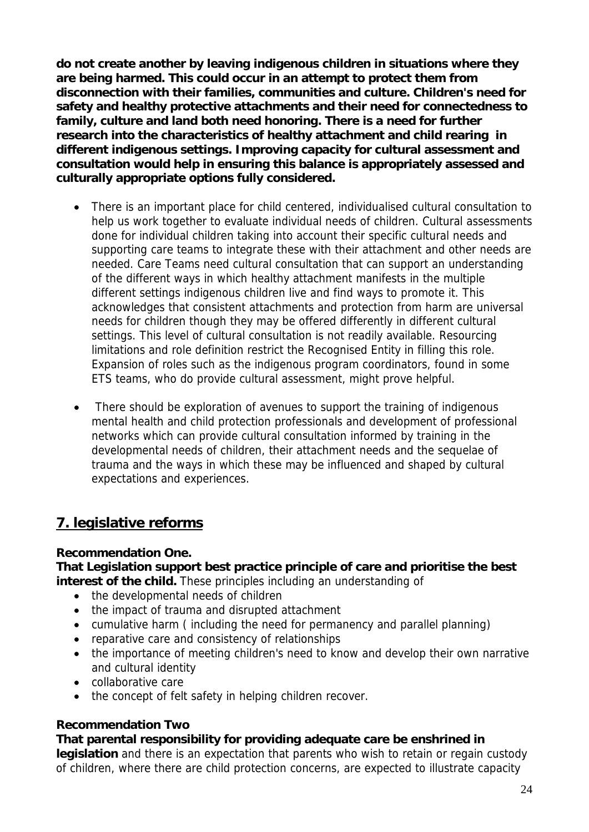**do not create another by leaving indigenous children in situations where they are being harmed. This could occur in an attempt to protect them from disconnection with their families, communities and culture. Children's need for safety and healthy protective attachments and their need for connectedness to family, culture and land both need honoring. There is a need for further research into the characteristics of healthy attachment and child rearing in different indigenous settings. Improving capacity for cultural assessment and consultation would help in ensuring this balance is appropriately assessed and culturally appropriate options fully considered.** 

- There is an important place for child centered, individualised cultural consultation to help us work together to evaluate individual needs of children. Cultural assessments done for individual children taking into account their specific cultural needs and supporting care teams to integrate these with their attachment and other needs are needed. Care Teams need cultural consultation that can support an understanding of the different ways in which healthy attachment manifests in the multiple different settings indigenous children live and find ways to promote it. This acknowledges that consistent attachments and protection from harm are universal needs for children though they may be offered differently in different cultural settings. This level of cultural consultation is not readily available. Resourcing limitations and role definition restrict the Recognised Entity in filling this role. Expansion of roles such as the indigenous program coordinators, found in some ETS teams, who do provide cultural assessment, might prove helpful.
- There should be exploration of avenues to support the training of indigenous mental health and child protection professionals and development of professional networks which can provide cultural consultation informed by training in the developmental needs of children, their attachment needs and the sequelae of trauma and the ways in which these may be influenced and shaped by cultural expectations and experiences.

## **7. legislative reforms**

#### **Recommendation One.**

**That Legislation support best practice principle of care and prioritise the best interest of the child.** These principles including an understanding of

- the developmental needs of children
- the impact of trauma and disrupted attachment
- cumulative harm ( including the need for permanency and parallel planning)
- reparative care and consistency of relationships
- the importance of meeting children's need to know and develop their own narrative and cultural identity
- collaborative care
- the concept of felt safety in helping children recover.

#### **Recommendation Two**

**That parental responsibility for providing adequate care be enshrined in legislation** and there is an expectation that parents who wish to retain or regain custody of children, where there are child protection concerns, are expected to illustrate capacity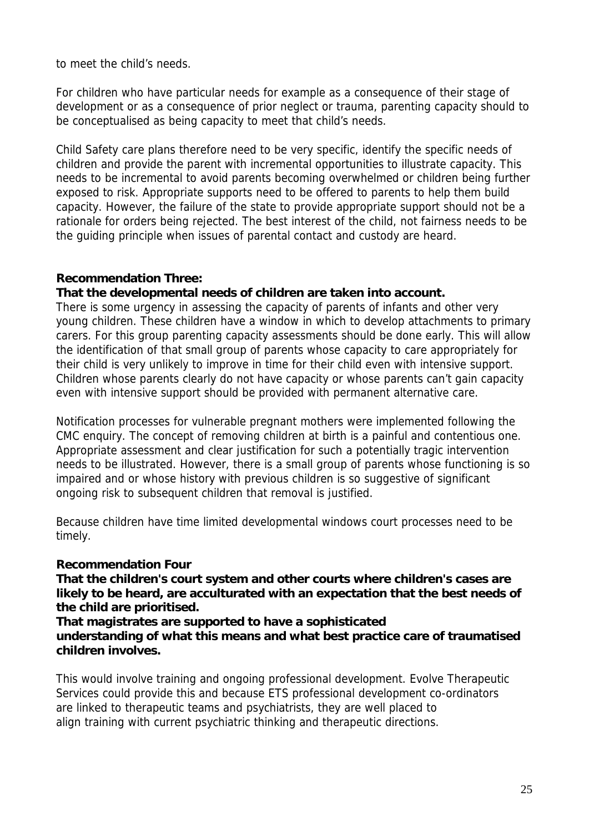to meet the child's needs.

For children who have particular needs for example as a consequence of their stage of development or as a consequence of prior neglect or trauma, parenting capacity should to be conceptualised as being capacity to meet that child's needs.

Child Safety care plans therefore need to be very specific, identify the specific needs of children and provide the parent with incremental opportunities to illustrate capacity. This needs to be incremental to avoid parents becoming overwhelmed or children being further exposed to risk. Appropriate supports need to be offered to parents to help them build capacity. However, the failure of the state to provide appropriate support should not be a rationale for orders being rejected. The best interest of the child, not fairness needs to be the guiding principle when issues of parental contact and custody are heard.

#### **Recommendation Three:**

#### **That the developmental needs of children are taken into account.**

There is some urgency in assessing the capacity of parents of infants and other very young children. These children have a window in which to develop attachments to primary carers. For this group parenting capacity assessments should be done early. This will allow the identification of that small group of parents whose capacity to care appropriately for their child is very unlikely to improve in time for their child even with intensive support. Children whose parents clearly do not have capacity or whose parents can't gain capacity even with intensive support should be provided with permanent alternative care.

Notification processes for vulnerable pregnant mothers were implemented following the CMC enquiry. The concept of removing children at birth is a painful and contentious one. Appropriate assessment and clear justification for such a potentially tragic intervention needs to be illustrated. However, there is a small group of parents whose functioning is so impaired and or whose history with previous children is so suggestive of significant ongoing risk to subsequent children that removal is justified.

Because children have time limited developmental windows court processes need to be timely.

#### **Recommendation Four**

**That the children's court system and other courts where children's cases are likely to be heard, are acculturated with an expectation that the best needs of the child are prioritised.** 

**That magistrates are supported to have a sophisticated understanding of what this means and what best practice care of traumatised children involves.** 

This would involve training and ongoing professional development. Evolve Therapeutic Services could provide this and because ETS professional development co-ordinators are linked to therapeutic teams and psychiatrists, they are well placed to align training with current psychiatric thinking and therapeutic directions.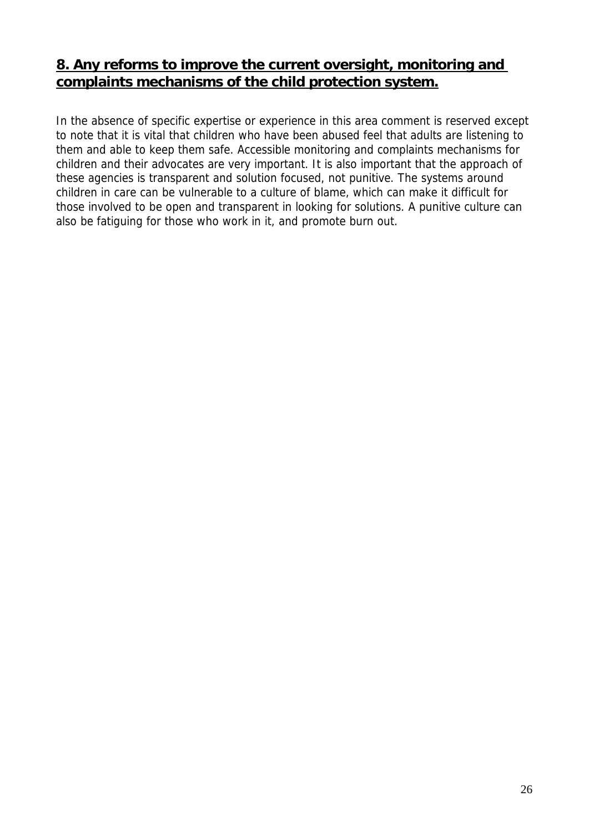## **8. Any reforms to improve the current oversight, monitoring and complaints mechanisms of the child protection system.**

In the absence of specific expertise or experience in this area comment is reserved except to note that it is vital that children who have been abused feel that adults are listening to them and able to keep them safe. Accessible monitoring and complaints mechanisms for children and their advocates are very important. It is also important that the approach of these agencies is transparent and solution focused, not punitive. The systems around children in care can be vulnerable to a culture of blame, which can make it difficult for those involved to be open and transparent in looking for solutions. A punitive culture can also be fatiguing for those who work in it, and promote burn out.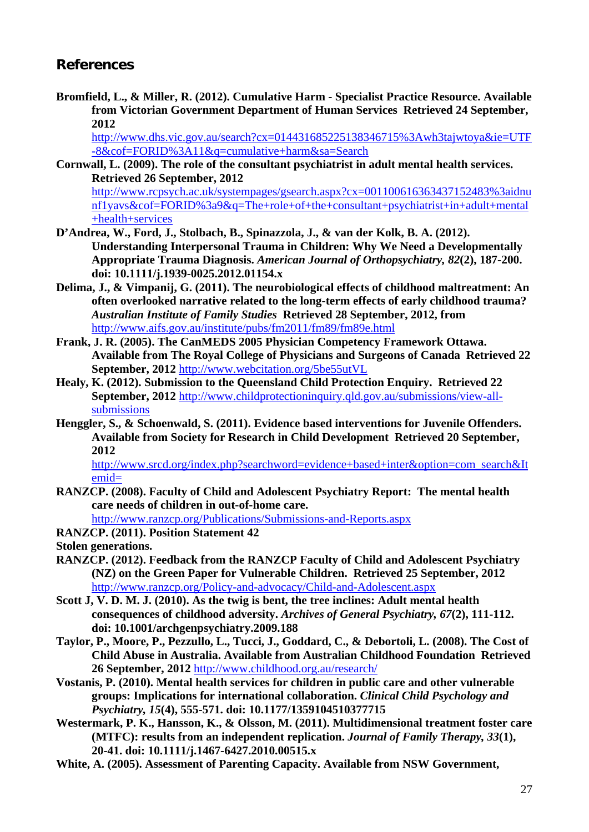#### **References**

<span id="page-26-1"></span>**Bromfield, L., & Miller, R. (2012). Cumulative Harm - Specialist Practice Resource. Available from Victorian Government Department of Human Services Retrieved 24 September, 2012** 

[http://www.dhs.vic.gov.au/search?cx=014431685225138346715%3Awh3tajwtoya&ie=UTF](http://www.dhs.vic.gov.au/search?cx=014431685225138346715%3Awh3tajwtoya&ie=UTF-8&cof=FORID%3A11&q=cumulative+harm&sa=Search) [-8&cof=FORID%3A11&q=cumulative+harm&sa=Search](http://www.dhs.vic.gov.au/search?cx=014431685225138346715%3Awh3tajwtoya&ie=UTF-8&cof=FORID%3A11&q=cumulative+harm&sa=Search)

- <span id="page-26-10"></span>**Cornwall, L. (2009). The role of the consultant psychiatrist in adult mental health services. Retrieved 26 September, 2012**  [http://www.rcpsych.ac.uk/systempages/gsearch.aspx?cx=001100616363437152483%3aidnu](http://www.rcpsych.ac.uk/systempages/gsearch.aspx?cx=001100616363437152483%3aidnunf1yavs&cof=FORID%3a9&q=The+role+of+the+consultant+psychiatrist+in+adult+mental+health+services) [nf1yavs&cof=FORID%3a9&q=The+role+of+the+consultant+psychiatrist+in+adult+mental](http://www.rcpsych.ac.uk/systempages/gsearch.aspx?cx=001100616363437152483%3aidnunf1yavs&cof=FORID%3a9&q=The+role+of+the+consultant+psychiatrist+in+adult+mental+health+services) [+health+services](http://www.rcpsych.ac.uk/systempages/gsearch.aspx?cx=001100616363437152483%3aidnunf1yavs&cof=FORID%3a9&q=The+role+of+the+consultant+psychiatrist+in+adult+mental+health+services)
- **D'Andrea, W., Ford, J., Stolbach, B., Spinazzola, J., & van der Kolk, B. A. (2012). Understanding Interpersonal Trauma in Children: Why We Need a Developmentally Appropriate Trauma Diagnosis.** *American Journal of Orthopsychiatry, 82***(2), 187-200. doi: 10.1111/j.1939-0025.2012.01154.x**
- <span id="page-26-2"></span>**Delima, J., & Vimpanij, G. (2011). The neurobiological effects of childhood maltreatment: An often overlooked narrative related to the long-term effects of early childhood trauma?**  *Australian Institute of Family Studies* **Retrieved 28 September, 2012, from**  <http://www.aifs.gov.au/institute/pubs/fm2011/fm89/fm89e.html>
- <span id="page-26-11"></span>**Frank, J. R. (2005). The CanMEDS 2005 Physician Competency Framework Ottawa. Available from The Royal College of Physicians and Surgeons of Canada Retrieved 22 September, 2012** <http://www.webcitation.org/5be55utVL>
- <span id="page-26-12"></span>**Healy, K. (2012). Submission to the Queensland Child Protection Enquiry. Retrieved 22 September, 2012** [http://www.childprotectioninquiry.qld.gov.au/submissions/view-all](http://www.childprotectioninquiry.qld.gov.au/submissions/view-all-submissions)[submissions](http://www.childprotectioninquiry.qld.gov.au/submissions/view-all-submissions)
- <span id="page-26-4"></span>**Henggler, S., & Schoenwald, S. (2011). Evidence based interventions for Juvenile Offenders. Available from Society for Research in Child Development Retrieved 20 September, 2012**

[http://www.srcd.org/index.php?searchword=evidence+based+inter&option=com\\_search&It](http://www.srcd.org/index.php?searchword=evidence+based+inter&option=com_search&Itemid=) [emid=](http://www.srcd.org/index.php?searchword=evidence+based+inter&option=com_search&Itemid=)

<span id="page-26-7"></span>**RANZCP. (2008). Faculty of Child and Adolescent Psychiatry Report: The mental health care needs of children in out-of-home care.** 

<http://www.ranzcp.org/Publications/Submissions-and-Reports.aspx>

<span id="page-26-8"></span>**RANZCP. (2011). Position Statement 42** 

**Stolen generations.** 

- <span id="page-26-9"></span>**RANZCP. (2012). Feedback from the RANZCP Faculty of Child and Adolescent Psychiatry (NZ) on the Green Paper for Vulnerable Children. Retrieved 25 September, 2012**  <http://www.ranzcp.org/Policy-and-advocacy/Child-and-Adolescent.aspx>
- <span id="page-26-5"></span>**Scott J, V. D. M. J. (2010). As the twig is bent, the tree inclines: Adult mental health consequences of childhood adversity.** *Archives of General Psychiatry, 67***(2), 111-112. doi: 10.1001/archgenpsychiatry.2009.188**
- <span id="page-26-6"></span>**Taylor, P., Moore, P., Pezzullo, L., Tucci, J., Goddard, C., & Debortoli, L. (2008). The Cost of Child Abuse in Australia. Available from Australian Childhood Foundation Retrieved 26 September, 2012** <http://www.childhood.org.au/research/>
- <span id="page-26-0"></span>**Vostanis, P. (2010). Mental health services for children in public care and other vulnerable groups: Implications for international collaboration.** *Clinical Child Psychology and Psychiatry, 15***(4), 555-571. doi: 10.1177/1359104510377715**
- <span id="page-26-3"></span>**Westermark, P. K., Hansson, K., & Olsson, M. (2011). Multidimensional treatment foster care (MTFC): results from an independent replication.** *Journal of Family Therapy, 33***(1), 20-41. doi: 10.1111/j.1467-6427.2010.00515.x**
- **White, A. (2005). Assessment of Parenting Capacity. Available from NSW Government,**